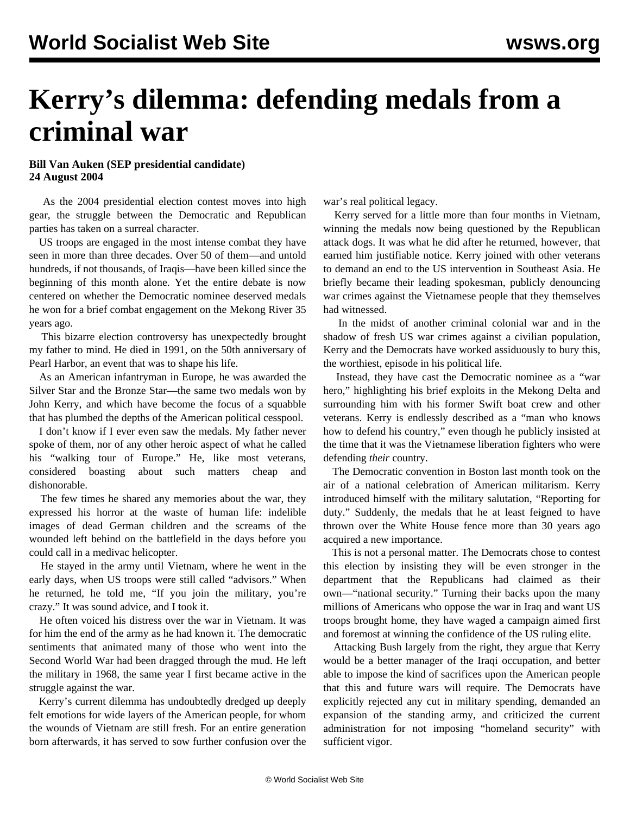## **Kerry's dilemma: defending medals from a criminal war**

## **Bill Van Auken (SEP presidential candidate) 24 August 2004**

 As the 2004 presidential election contest moves into high gear, the struggle between the Democratic and Republican parties has taken on a surreal character.

 US troops are engaged in the most intense combat they have seen in more than three decades. Over 50 of them—and untold hundreds, if not thousands, of Iraqis—have been killed since the beginning of this month alone. Yet the entire debate is now centered on whether the Democratic nominee deserved medals he won for a brief combat engagement on the Mekong River 35 years ago.

 This bizarre election controversy has unexpectedly brought my father to mind. He died in 1991, on the 50th anniversary of Pearl Harbor, an event that was to shape his life.

 As an American infantryman in Europe, he was awarded the Silver Star and the Bronze Star—the same two medals won by John Kerry, and which have become the focus of a squabble that has plumbed the depths of the American political cesspool.

 I don't know if I ever even saw the medals. My father never spoke of them, nor of any other heroic aspect of what he called his "walking tour of Europe." He, like most veterans, considered boasting about such matters cheap and dishonorable.

 The few times he shared any memories about the war, they expressed his horror at the waste of human life: indelible images of dead German children and the screams of the wounded left behind on the battlefield in the days before you could call in a medivac helicopter.

 He stayed in the army until Vietnam, where he went in the early days, when US troops were still called "advisors." When he returned, he told me, "If you join the military, you're crazy." It was sound advice, and I took it.

 He often voiced his distress over the war in Vietnam. It was for him the end of the army as he had known it. The democratic sentiments that animated many of those who went into the Second World War had been dragged through the mud. He left the military in 1968, the same year I first became active in the struggle against the war.

 Kerry's current dilemma has undoubtedly dredged up deeply felt emotions for wide layers of the American people, for whom the wounds of Vietnam are still fresh. For an entire generation born afterwards, it has served to sow further confusion over the war's real political legacy.

 Kerry served for a little more than four months in Vietnam, winning the medals now being questioned by the Republican attack dogs. It was what he did after he returned, however, that earned him justifiable notice. Kerry joined with other veterans to demand an end to the US intervention in Southeast Asia. He briefly became their leading spokesman, publicly denouncing war crimes against the Vietnamese people that they themselves had witnessed.

 In the midst of another criminal colonial war and in the shadow of fresh US war crimes against a civilian population, Kerry and the Democrats have worked assiduously to bury this, the worthiest, episode in his political life.

 Instead, they have cast the Democratic nominee as a "war hero," highlighting his brief exploits in the Mekong Delta and surrounding him with his former Swift boat crew and other veterans. Kerry is endlessly described as a "man who knows how to defend his country," even though he publicly insisted at the time that it was the Vietnamese liberation fighters who were defending *their* country.

 The Democratic convention in Boston last month took on the air of a national celebration of American militarism. Kerry introduced himself with the military salutation, "Reporting for duty." Suddenly, the medals that he at least feigned to have thrown over the White House fence more than 30 years ago acquired a new importance.

 This is not a personal matter. The Democrats chose to contest this election by insisting they will be even stronger in the department that the Republicans had claimed as their own—"national security." Turning their backs upon the many millions of Americans who oppose the war in Iraq and want US troops brought home, they have waged a campaign aimed first and foremost at winning the confidence of the US ruling elite.

 Attacking Bush largely from the right, they argue that Kerry would be a better manager of the Iraqi occupation, and better able to impose the kind of sacrifices upon the American people that this and future wars will require. The Democrats have explicitly rejected any cut in military spending, demanded an expansion of the standing army, and criticized the current administration for not imposing "homeland security" with sufficient vigor.